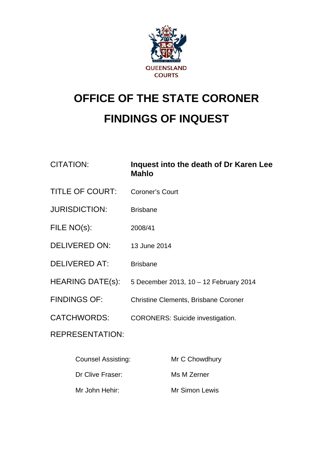

# **OFFICE OF THE STATE CORONER FINDINGS OF INQUEST**

| <b>CITATION:</b>          | Inquest into the death of Dr Karen Lee<br><b>Mahlo</b> |
|---------------------------|--------------------------------------------------------|
| <b>TITLE OF COURT:</b>    | <b>Coroner's Court</b>                                 |
| <b>JURISDICTION:</b>      | <b>Brisbane</b>                                        |
| FILE NO(s):               | 2008/41                                                |
| <b>DELIVERED ON:</b>      | 13 June 2014                                           |
| <b>DELIVERED AT:</b>      | <b>Brisbane</b>                                        |
| <b>HEARING DATE(s):</b>   | 5 December 2013, 10 - 12 February 2014                 |
| <b>FINDINGS OF:</b>       | <b>Christine Clements, Brisbane Coroner</b>            |
| <b>CATCHWORDS:</b>        | <b>CORONERS: Suicide investigation.</b>                |
| <b>REPRESENTATION:</b>    |                                                        |
| <b>Counsel Assisting:</b> | Mr C Chowdhury                                         |

Dr Clive Fraser: Ms M Zerner

Mr John Hehir: Mr Simon Lewis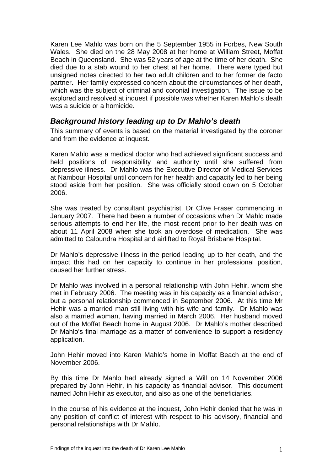Karen Lee Mahlo was born on the 5 September 1955 in Forbes, New South Wales. She died on the 28 May 2008 at her home at William Street, Moffat Beach in Queensland. She was 52 years of age at the time of her death. She died due to a stab wound to her chest at her home. There were typed but unsigned notes directed to her two adult children and to her former de facto partner. Her family expressed concern about the circumstances of her death, which was the subject of criminal and coronial investigation. The issue to be explored and resolved at inquest if possible was whether Karen Mahlo's death was a suicide or a homicide.

### *Background history leading up to Dr Mahlo's death*

This summary of events is based on the material investigated by the coroner and from the evidence at inquest.

Karen Mahlo was a medical doctor who had achieved significant success and held positions of responsibility and authority until she suffered from depressive illness. Dr Mahlo was the Executive Director of Medical Services at Nambour Hospital until concern for her health and capacity led to her being stood aside from her position. She was officially stood down on 5 October 2006.

She was treated by consultant psychiatrist, Dr Clive Fraser commencing in January 2007. There had been a number of occasions when Dr Mahlo made serious attempts to end her life, the most recent prior to her death was on about 11 April 2008 when she took an overdose of medication. She was admitted to Caloundra Hospital and airlifted to Royal Brisbane Hospital.

Dr Mahlo's depressive illness in the period leading up to her death, and the impact this had on her capacity to continue in her professional position, caused her further stress.

Dr Mahlo was involved in a personal relationship with John Hehir, whom she met in February 2006. The meeting was in his capacity as a financial advisor, but a personal relationship commenced in September 2006. At this time Mr Hehir was a married man still living with his wife and family. Dr Mahlo was also a married woman, having married in March 2006. Her husband moved out of the Moffat Beach home in August 2006. Dr Mahlo's mother described Dr Mahlo's final marriage as a matter of convenience to support a residency application.

John Hehir moved into Karen Mahlo's home in Moffat Beach at the end of November 2006.

By this time Dr Mahlo had already signed a Will on 14 November 2006 prepared by John Hehir, in his capacity as financial advisor. This document named John Hehir as executor, and also as one of the beneficiaries.

<span id="page-1-0"></span>In the course of his evidence at the inquest, John Hehir denied that he was in any position of conflict of interest with respect to his advisory, financial and personal relationships with Dr Mahlo.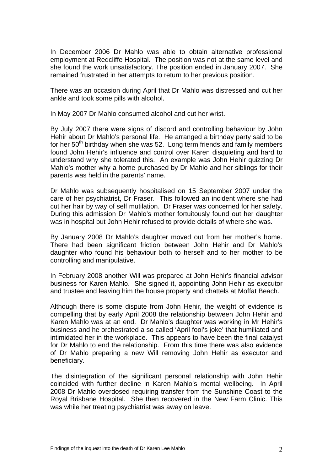In December 2006 Dr Mahlo was able to obtain alternative professional employment at Redcliffe Hospital. The position was not at the same level and she found the work unsatisfactory. The position ended in January 2007. She remained frustrated in her attempts to return to her previous position.

There was an occasion during April that Dr Mahlo was distressed and cut her ankle and took some pills with alcohol.

In May 2007 Dr Mahlo consumed alcohol and cut her wrist.

By July 2007 there were signs of discord and controlling behaviour by John Hehir about Dr Mahlo's personal life. He arranged a birthday party said to be for her  $50<sup>th</sup>$  birthday when she was 52. Long term friends and family members found John Hehir's influence and control over Karen disquieting and hard to understand why she tolerated this. An example was John Hehir quizzing Dr Mahlo's mother why a home purchased by Dr Mahlo and her siblings for their parents was held in the parents' name.

Dr Mahlo was subsequently hospitalised on 15 September 2007 under the care of her psychiatrist, Dr Fraser. This followed an incident where she had cut her hair by way of self mutilation. Dr Fraser was concerned for her safety. During this admission Dr Mahlo's mother fortuitously found out her daughter was in hospital but John Hehir refused to provide details of where she was.

By January 2008 Dr Mahlo's daughter moved out from her mother's home. There had been significant friction between John Hehir and Dr Mahlo's daughter who found his behaviour both to herself and to her mother to be controlling and manipulative.

In February 2008 another Will was prepared at John Hehir's financial advisor business for Karen Mahlo. She signed it, appointing John Hehir as executor and trustee and leaving him the house property and chattels at Moffat Beach.

Although there is some dispute from John Hehir, the weight of evidence is compelling that by early April 2008 the relationship between John Hehir and Karen Mahlo was at an end. Dr Mahlo's daughter was working in Mr Hehir's business and he orchestrated a so called 'April fool's joke' that humiliated and intimidated her in the workplace. This appears to have been the final catalyst for Dr Mahlo to end the relationship. From this time there was also evidence of Dr Mahlo preparing a new Will removing John Hehir as executor and beneficiary.

The disintegration of the significant personal relationship with John Hehir coincided with further decline in Karen Mahlo's mental wellbeing. In April 2008 Dr Mahlo overdosed requiring transfer from the Sunshine Coast to the Royal Brisbane Hospital. She then recovered in the New Farm Clinic. This was while her treating psychiatrist was away on leave.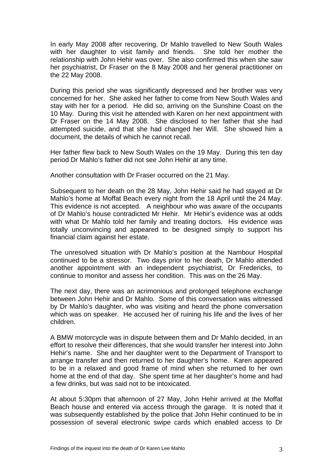In early May 2008 after recovering, Dr Mahlo travelled to New South Wales with her daughter to visit family and friends. She told her mother the relationship with John Hehir was over. She also confirmed this when she saw her psychiatrist, Dr Fraser on the 8 May 2008 and her general practitioner on the 22 May 2008.

During this period she was significantly depressed and her brother was very concerned for her. She asked her father to come from New South Wales and stay with her for a period. He did so, arriving on the Sunshine Coast on the 10 May. During this visit he attended with Karen on her next appointment with Dr Fraser on the 14 May 2008. She disclosed to her father that she had attempted suicide, and that she had changed her Will. She showed him a document, the details of which he cannot recall.

Her father flew back to New South Wales on the 19 May. During this ten day period Dr Mahlo's father did not see John Hehir at any time.

Another consultation with Dr Fraser occurred on the 21 May.

Subsequent to her death on the 28 May, John Hehir said he had stayed at Dr Mahlo's home at Moffat Beach every night from the 18 April until the 24 May. This evidence is not accepted. A neighbour who was aware of the occupants of Dr Mahlo's house contradicted Mr Hehir. Mr Hehir's evidence was at odds with what Dr Mahlo told her family and treating doctors. His evidence was totally unconvincing and appeared to be designed simply to support his financial claim against her estate.

The unresolved situation with Dr Mahlo's position at the Nambour Hospital continued to be a stressor. Two days prior to her death, Dr Mahlo attended another appointment with an independent psychiatrist, Dr Fredericks, to continue to monitor and assess her condition. This was on the 26 May.

The next day, there was an acrimonious and prolonged telephone exchange between John Hehir and Dr Mahlo. Some of this conversation was witnessed by Dr Mahlo's daughter, who was visiting and heard the phone conversation which was on speaker. He accused her of ruining his life and the lives of her children.

A BMW motorcycle was in dispute between them and Dr Mahlo decided, in an effort to resolve their differences, that she would transfer her interest into John Hehir's name. She and her daughter went to the Department of Transport to arrange transfer and then returned to her daughter's home. Karen appeared to be in a relaxed and good frame of mind when she returned to her own home at the end of that day. She spent time at her daughter's home and had a few drinks, but was said not to be intoxicated.

At about 5:30pm that afternoon of 27 May, John Hehir arrived at the Moffat Beach house and entered via access through the garage. It is noted that it was subsequently established by the police that John Hehir continued to be in possession of several electronic swipe cards which enabled access to Dr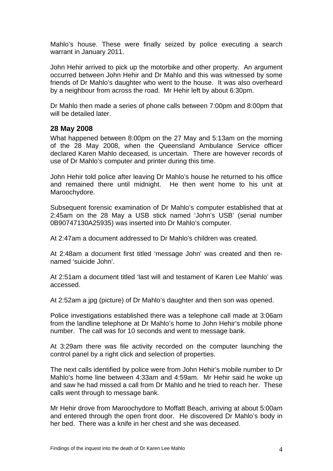Mahlo's house. These were finally seized by police executing a search warrant in January 2011.

John Hehir arrived to pick up the motorbike and other property. An argument occurred between John Hehir and Dr Mahlo and this was witnessed by some friends of Dr Mahlo's daughter who went to the house. It was also overheard by a neighbour from across the road. Mr Hehir left by about 6:30pm.

Dr Mahlo then made a series of phone calls between 7:00pm and 8:00pm that will be detailed later

#### **28 May 2008**

What happened between 8:00pm on the 27 May and 5:13am on the morning of the 28 May 2008, when the Queensland Ambulance Service officer declared Karen Mahlo deceased, is uncertain. There are however records of use of Dr Mahlo's computer and printer during this time.

John Hehir told police after leaving Dr Mahlo's house he returned to his office and remained there until midnight. He then went home to his unit at Maroochydore.

Subsequent forensic examination of Dr Mahlo's computer established that at 2:45am on the 28 May a USB stick named 'John's USB' (serial number 0B90747130A25935) was inserted into Dr Mahlo's computer.

At 2:47am a document addressed to Dr Mahlo's children was created.

At 2:48am a document first titled 'message John' was created and then renamed 'suicide John'.

At 2:51am a document titled 'last will and testament of Karen Lee Mahlo' was accessed.

At 2:52am a jpg (picture) of Dr Mahlo's daughter and then son was opened.

Police investigations established there was a telephone call made at 3:06am from the landline telephone at Dr Mahlo's home to John Hehir's mobile phone number. The call was for 10 seconds and went to message bank.

At 3:29am there was file activity recorded on the computer launching the control panel by a right click and selection of properties.

The next calls identified by police were from John Hehir's mobile number to Dr Mahlo's home line between 4:33am and 4:59am. Mr Hehir said he woke up and saw he had missed a call from Dr Mahlo and he tried to reach her. These calls went through to message bank.

Mr Hehir drove from Maroochydore to Moffatt Beach, arriving at about 5:00am and entered through the open front door. He discovered Dr Mahlo's body in her bed. There was a knife in her chest and she was deceased.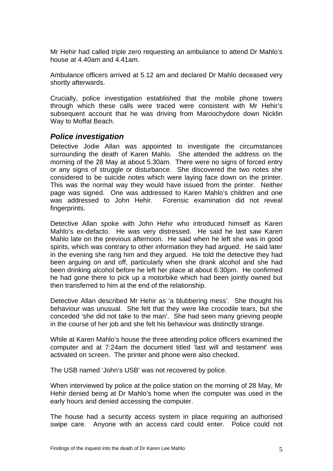Mr Hehir had called triple zero requesting an ambulance to attend Dr Mahlo's house at 4.40am and 4.41am.

Ambulance officers arrived at 5.12 am and declared Dr Mahlo deceased very shortly afterwards.

Crucially, police investigation established that the mobile phone towers through which these calls were traced were consistent with Mr Hehir's subsequent account that he was driving from Maroochydore down Nicklin Way to Moffat Beach.

#### *Police investigation*

Detective Jodie Allan was appointed to investigate the circumstances surrounding the death of Karen Mahlo. She attended the address on the morning of the 28 May at about 5.30am. There were no signs of forced entry or any signs of struggle or disturbance. She discovered the two notes she considered to be suicide notes which were laying face down on the printer. This was the normal way they would have issued from the printer. Neither page was signed. One was addressed to Karen Mahlo's children and one was addressed to John Hehir. Forensic examination did not reveal fingerprints.

Detective Allan spoke with John Hehir who introduced himself as Karen Mahlo's ex-defacto. He was very distressed. He said he last saw Karen Mahlo late on the previous afternoon. He said when he left she was in good spirits, which was contrary to other information they had argued. He said later in the evening she rang him and they argued. He told the detective they had been arguing on and off, particularly when she drank alcohol and she had been drinking alcohol before he left her place at about 6:30pm. He confirmed he had gone there to pick up a motorbike which had been jointly owned but then transferred to him at the end of the relationship.

Detective Allan described Mr Hehir as 'a blubbering mess'. She thought his behaviour was unusual. She felt that they were like crocodile tears, but she conceded 'she did not take to the man'. She had seen many grieving people in the course of her job and she felt his behaviour was distinctly strange.

While at Karen Mahlo's house the three attending police officers examined the computer and at 7:24am the document titled 'last will and testament' was activated on screen. The printer and phone were also checked.

The USB named 'John's USB' was not recovered by police.

When interviewed by police at the police station on the morning of 28 May, Mr Hehir denied being at Dr Mahlo's home when the computer was used in the early hours and denied accessing the computer.

The house had a security access system in place requiring an authorised swipe care. Anyone with an access card could enter. Police could not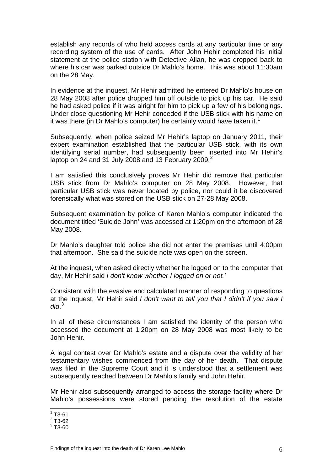establish any records of who held access cards at any particular time or any recording system of the use of cards. After John Hehir completed his initial statement at the police station with Detective Allan, he was dropped back to where his car was parked outside Dr Mahlo's home. This was about 11:30am on the 28 May.

In evidence at the inquest, Mr Hehir admitted he entered Dr Mahlo's house on 28 May 2008 after police dropped him off outside to pick up his car. He said he had asked police if it was alright for him to pick up a few of his belongings. Under close questioning Mr Hehir conceded if the USB stick with his name on it was there (in Dr Mahlo's computer) he certainly would have taken it.<sup>[1](#page-1-0)</sup>

Subsequently, when police seized Mr Hehir's laptop on January 2011, their expert examination established that the particular USB stick, with its own identifying serial number, had subsequently been inserted into Mr Hehir's laptop on [2](#page-6-0)4 and 31 July 2008 and 13 February 2009. $^2$ 

I am satisfied this conclusively proves Mr Hehir did remove that particular USB stick from Dr Mahlo's computer on 28 May 2008. However, that particular USB stick was never located by police, nor could it be discovered forensically what was stored on the USB stick on 27-28 May 2008.

Subsequent examination by police of Karen Mahlo's computer indicated the document titled 'Suicide John' was accessed at 1:20pm on the afternoon of 28 May 2008.

Dr Mahlo's daughter told police she did not enter the premises until 4:00pm that afternoon. She said the suicide note was open on the screen.

At the inquest, when asked directly whether he logged on to the computer that day, Mr Hehir said *I don't know whether I logged on or not.'*

Consistent with the evasive and calculated manner of responding to questions at the inquest, Mr Hehir said *I don't want to tell you that I didn't if you saw I did*. [3](#page-6-1)

In all of these circumstances I am satisfied the identity of the person who accessed the document at 1:20pm on 28 May 2008 was most likely to be John Hehir.

A legal contest over Dr Mahlo's estate and a dispute over the validity of her testamentary wishes commenced from the day of her death. That dispute was filed in the Supreme Court and it is understood that a settlement was subsequently reached between Dr Mahlo's family and John Hehir.

Mr Hehir also subsequently arranged to access the storage facility where Dr Mahlo's possessions were stored pending the resolution of the estate

1

 $1$  T3-61

<span id="page-6-0"></span> $2$  T3-62

<span id="page-6-1"></span> $^3$  T3-60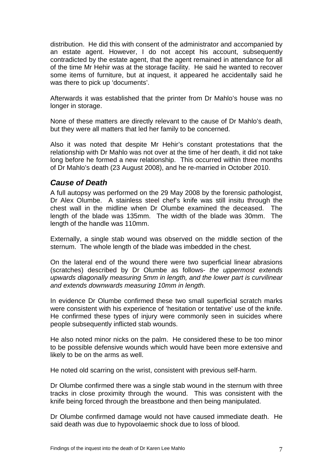distribution. He did this with consent of the administrator and accompanied by an estate agent. However, I do not accept his account, subsequently contradicted by the estate agent, that the agent remained in attendance for all of the time Mr Hehir was at the storage facility. He said he wanted to recover some items of furniture, but at inquest, it appeared he accidentally said he was there to pick up 'documents'.

Afterwards it was established that the printer from Dr Mahlo's house was no longer in storage.

None of these matters are directly relevant to the cause of Dr Mahlo's death, but they were all matters that led her family to be concerned.

Also it was noted that despite Mr Hehir's constant protestations that the relationship with Dr Mahlo was not over at the time of her death, it did not take long before he formed a new relationship. This occurred within three months of Dr Mahlo's death (23 August 2008), and he re-married in October 2010.

#### *Cause of Death*

A full autopsy was performed on the 29 May 2008 by the forensic pathologist, Dr Alex Olumbe. A stainless steel chef's knife was still insitu through the chest wall in the midline when Dr Olumbe examined the deceased. The length of the blade was 135mm. The width of the blade was 30mm. The length of the handle was 110mm.

Externally, a single stab wound was observed on the middle section of the sternum. The whole length of the blade was imbedded in the chest.

On the lateral end of the wound there were two superficial linear abrasions (scratches) described by Dr Olumbe as follows- *the uppermost extends upwards diagonally measuring 5mm in length, and the lower part is curvilinear and extends downwards measuring 10mm in length.*

In evidence Dr Olumbe confirmed these two small superficial scratch marks were consistent with his experience of 'hesitation or tentative' use of the knife. He confirmed these types of injury were commonly seen in suicides where people subsequently inflicted stab wounds.

He also noted minor nicks on the palm. He considered these to be too minor to be possible defensive wounds which would have been more extensive and likely to be on the arms as well.

He noted old scarring on the wrist, consistent with previous self-harm.

Dr Olumbe confirmed there was a single stab wound in the sternum with three tracks in close proximity through the wound. This was consistent with the knife being forced through the breastbone and then being manipulated.

Dr Olumbe confirmed damage would not have caused immediate death. He said death was due to hypovolaemic shock due to loss of blood.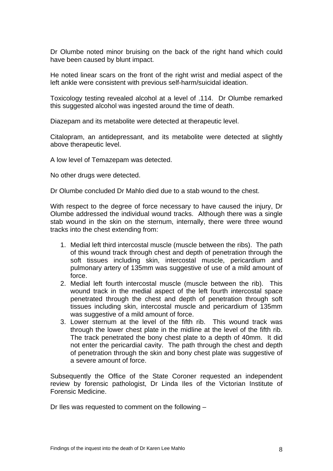Dr Olumbe noted minor bruising on the back of the right hand which could have been caused by blunt impact.

He noted linear scars on the front of the right wrist and medial aspect of the left ankle were consistent with previous self-harm/suicidal ideation.

Toxicology testing revealed alcohol at a level of .114. Dr Olumbe remarked this suggested alcohol was ingested around the time of death.

Diazepam and its metabolite were detected at therapeutic level.

Citalopram, an antidepressant, and its metabolite were detected at slightly above therapeutic level.

A low level of Temazepam was detected.

No other drugs were detected.

Dr Olumbe concluded Dr Mahlo died due to a stab wound to the chest.

With respect to the degree of force necessary to have caused the injury, Dr Olumbe addressed the individual wound tracks. Although there was a single stab wound in the skin on the sternum, internally, there were three wound tracks into the chest extending from:

- 1. Medial left third intercostal muscle (muscle between the ribs). The path of this wound track through chest and depth of penetration through the soft tissues including skin, intercostal muscle, pericardium and pulmonary artery of 135mm was suggestive of use of a mild amount of force.
- 2. Medial left fourth intercostal muscle (muscle between the rib). This wound track in the medial aspect of the left fourth intercostal space penetrated through the chest and depth of penetration through soft tissues including skin, intercostal muscle and pericardium of 135mm was suggestive of a mild amount of force.
- 3. Lower sternum at the level of the fifth rib. This wound track was through the lower chest plate in the midline at the level of the fifth rib. The track penetrated the bony chest plate to a depth of 40mm. It did not enter the pericardial cavity. The path through the chest and depth of penetration through the skin and bony chest plate was suggestive of a severe amount of force.

Subsequently the Office of the State Coroner requested an independent review by forensic pathologist, Dr Linda Iles of the Victorian Institute of Forensic Medicine.

Dr Iles was requested to comment on the following –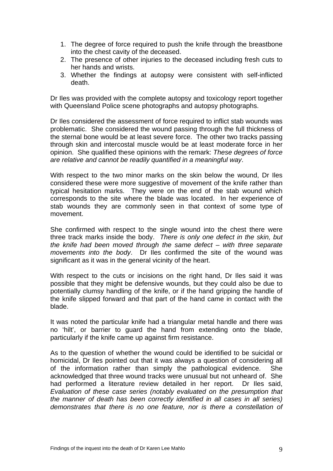- 1. The degree of force required to push the knife through the breastbone into the chest cavity of the deceased.
- 2. The presence of other injuries to the deceased including fresh cuts to her hands and wrists.
- 3. Whether the findings at autopsy were consistent with self-inflicted death.

Dr Iles was provided with the complete autopsy and toxicology report together with Queensland Police scene photographs and autopsy photographs.

Dr Iles considered the assessment of force required to inflict stab wounds was problematic. She considered the wound passing through the full thickness of the sternal bone would be at least severe force. The other two tracks passing through skin and intercostal muscle would be at least moderate force in her opinion. She qualified these opinions with the remark: *These degrees of force are relative and cannot be readily quantified in a meaningful way*.

With respect to the two minor marks on the skin below the wound, Dr Iles considered these were more suggestive of movement of the knife rather than typical hesitation marks. They were on the end of the stab wound which corresponds to the site where the blade was located. In her experience of stab wounds they are commonly seen in that context of some type of movement.

She confirmed with respect to the single wound into the chest there were three track marks inside the body. *There is only one defect in the skin, but the knife had been moved through the same defect – with three separate movements into the body*. Dr Iles confirmed the site of the wound was significant as it was in the general vicinity of the heart.

With respect to the cuts or incisions on the right hand, Dr Iles said it was possible that they might be defensive wounds, but they could also be due to potentially clumsy handling of the knife, or if the hand gripping the handle of the knife slipped forward and that part of the hand came in contact with the blade.

It was noted the particular knife had a triangular metal handle and there was no 'hilt', or barrier to guard the hand from extending onto the blade, particularly if the knife came up against firm resistance.

As to the question of whether the wound could be identified to be suicidal or homicidal, Dr Iles pointed out that it was always a question of considering all of the information rather than simply the pathological evidence. She acknowledged that three wound tracks were unusual but not unheard of. She had performed a literature review detailed in her report. Dr Iles said, *Evaluation of these case series (notably evaluated on the presumption that the manner of death has been correctly identified in all cases in all series) demonstrates that there is no one feature, nor is there a constellation of*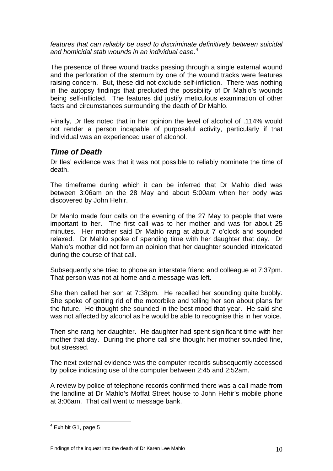*features that can reliably be used to discriminate definitively between suicidal and homicidal stab wounds in an individual case*. [4](#page-6-1)

The presence of three wound tracks passing through a single external wound and the perforation of the sternum by one of the wound tracks were features raising concern. But, these did not exclude self-infliction. There was nothing in the autopsy findings that precluded the possibility of Dr Mahlo's wounds being self-inflicted. The features did justify meticulous examination of other facts and circumstances surrounding the death of Dr Mahlo.

Finally, Dr Iles noted that in her opinion the level of alcohol of .114% would not render a person incapable of purposeful activity, particularly if that individual was an experienced user of alcohol.

## *Time of Death*

Dr Iles' evidence was that it was not possible to reliably nominate the time of death.

The timeframe during which it can be inferred that Dr Mahlo died was between 3:06am on the 28 May and about 5:00am when her body was discovered by John Hehir.

Dr Mahlo made four calls on the evening of the 27 May to people that were important to her. The first call was to her mother and was for about 25 minutes. Her mother said Dr Mahlo rang at about 7 o'clock and sounded relaxed. Dr Mahlo spoke of spending time with her daughter that day. Dr Mahlo's mother did not form an opinion that her daughter sounded intoxicated during the course of that call.

Subsequently she tried to phone an interstate friend and colleague at 7:37pm. That person was not at home and a message was left.

She then called her son at 7:38pm. He recalled her sounding quite bubbly. She spoke of getting rid of the motorbike and telling her son about plans for the future. He thought she sounded in the best mood that year. He said she was not affected by alcohol as he would be able to recognise this in her voice.

Then she rang her daughter. He daughter had spent significant time with her mother that day. During the phone call she thought her mother sounded fine, but stressed.

The next external evidence was the computer records subsequently accessed by police indicating use of the computer between 2:45 and 2:52am.

A review by police of telephone records confirmed there was a call made from the landline at Dr Mahlo's Moffat Street house to John Hehir's mobile phone at 3:06am. That call went to message bank.

1

<span id="page-10-0"></span> $<sup>4</sup>$  Exhibit G1, page 5</sup>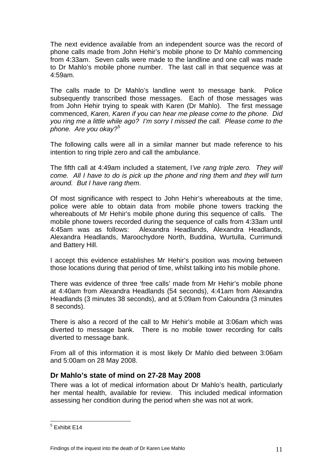The next evidence available from an independent source was the record of phone calls made from John Hehir's mobile phone to Dr Mahlo commencing from 4:33am. Seven calls were made to the landline and one call was made to Dr Mahlo's mobile phone number. The last call in that sequence was at 4:59am.

The calls made to Dr Mahlo's landline went to message bank. Police subsequently transcribed those messages. Each of those messages was from John Hehir trying to speak with Karen (Dr Mahlo). The first message commenced, *Karen, Karen if you can hear me please come to the phone. Did you ring me a little while ago? I'm sorry I missed the call. Please come to the phone. Are you okay?*[5](#page-10-0)

The following calls were all in a similar manner but made reference to his intention to ring triple zero and call the ambulance.

The fifth call at 4:49am included a statement, I*'ve rang triple zero. They will come. All I have to do is pick up the phone and ring them and they will turn around. But I have rang them*.

Of most significance with respect to John Hehir's whereabouts at the time, police were able to obtain data from mobile phone towers tracking the whereabouts of Mr Hehir's mobile phone during this sequence of calls. The mobile phone towers recorded during the sequence of calls from 4:33am until 4:45am was as follows: Alexandra Headlands, Alexandra Headlands, Alexandra Headlands, Maroochydore North, Buddina, Wurtulla, Currimundi and Battery Hill.

I accept this evidence establishes Mr Hehir's position was moving between those locations during that period of time, whilst talking into his mobile phone.

There was evidence of three 'free calls' made from Mr Hehir's mobile phone at 4:40am from Alexandra Headlands (54 seconds), 4:41am from Alexandra Headlands (3 minutes 38 seconds), and at 5:09am from Caloundra (3 minutes 8 seconds).

There is also a record of the call to Mr Hehir's mobile at 3:06am which was diverted to message bank. There is no mobile tower recording for calls diverted to message bank.

From all of this information it is most likely Dr Mahlo died between 3:06am and 5:00am on 28 May 2008.

#### **Dr Mahlo's state of mind on 27-28 May 2008**

There was a lot of medical information about Dr Mahlo's health, particularly her mental health, available for review. This included medical information assessing her condition during the period when she was not at work.

 5 Exhibit E14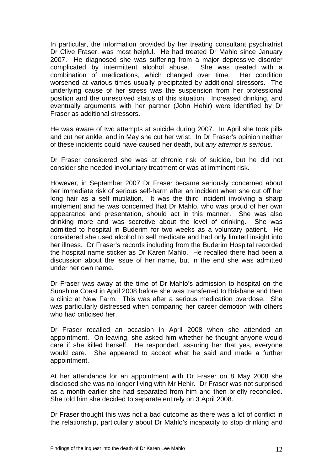In particular, the information provided by her treating consultant psychiatrist Dr Clive Fraser, was most helpful. He had treated Dr Mahlo since January 2007. He diagnosed she was suffering from a major depressive disorder complicated by intermittent alcohol abuse. She was treated with a combination of medications, which changed over time. Her condition worsened at various times usually precipitated by additional stressors. The underlying cause of her stress was the suspension from her professional position and the unresolved status of this situation. Increased drinking, and eventually arguments with her partner (John Hehir) were identified by Dr Fraser as additional stressors.

He was aware of two attempts at suicide during 2007. In April she took pills and cut her ankle, and in May she cut her wrist. In Dr Fraser's opinion neither of these incidents could have caused her death, but *any attempt is serious*.

Dr Fraser considered she was at chronic risk of suicide, but he did not consider she needed involuntary treatment or was at imminent risk.

However, in September 2007 Dr Fraser became seriously concerned about her immediate risk of serious self-harm after an incident when she cut off her long hair as a self mutilation. It was the third incident involving a sharp implement and he was concerned that Dr Mahlo, who was proud of her own appearance and presentation, should act in this manner. She was also drinking more and was secretive about the level of drinking. She was admitted to hospital in Buderim for two weeks as a voluntary patient. He considered she used alcohol to self medicate and had only limited insight into her illness. Dr Fraser's records including from the Buderim Hospital recorded the hospital name sticker as Dr Karen Mahlo. He recalled there had been a discussion about the issue of her name, but in the end she was admitted under her own name.

Dr Fraser was away at the time of Dr Mahlo's admission to hospital on the Sunshine Coast in April 2008 before she was transferred to Brisbane and then a clinic at New Farm. This was after a serious medication overdose. She was particularly distressed when comparing her career demotion with others who had criticised her.

Dr Fraser recalled an occasion in April 2008 when she attended an appointment. On leaving, she asked him whether he thought anyone would care if she killed herself. He responded, assuring her that yes, everyone would care. She appeared to accept what he said and made a further appointment.

At her attendance for an appointment with Dr Fraser on 8 May 2008 she disclosed she was no longer living with Mr Hehir. Dr Fraser was not surprised as a month earlier she had separated from him and then briefly reconciled. She told him she decided to separate entirely on 3 April 2008.

Dr Fraser thought this was not a bad outcome as there was a lot of conflict in the relationship, particularly about Dr Mahlo's incapacity to stop drinking and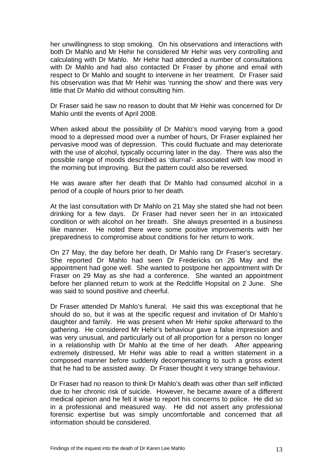her unwillingness to stop smoking. On his observations and interactions with both Dr Mahlo and Mr Hehir he considered Mr Hehir was very controlling and calculating with Dr Mahlo. Mr Hehir had attended a number of consultations with Dr Mahlo and had also contacted Dr Fraser by phone and email with respect to Dr Mahlo and sought to intervene in her treatment. Dr Fraser said his observation was that Mr Hehir was 'running the show' and there was very little that Dr Mahlo did without consulting him.

Dr Fraser said he saw no reason to doubt that Mr Hehir was concerned for Dr Mahlo until the events of April 2008.

When asked about the possibility of Dr Mahlo's mood varying from a good mood to a depressed mood over a number of hours, Dr Fraser explained her pervasive mood was of depression. This could fluctuate and may deteriorate with the use of alcohol, typically occurring later in the day. There was also the possible range of moods described as 'diurnal'- associated with low mood in the morning but improving. But the pattern could also be reversed.

He was aware after her death that Dr Mahlo had consumed alcohol in a period of a couple of hours prior to her death.

At the last consultation with Dr Mahlo on 21 May she stated she had not been drinking for a few days. Dr Fraser had never seen her in an intoxicated condition or with alcohol on her breath. She always presented in a business like manner. He noted there were some positive improvements with her preparedness to compromise about conditions for her return to work.

On 27 May, the day before her death, Dr Mahlo rang Dr Fraser's secretary. She reported Dr Mahlo had seen Dr Fredericks on 26 May and the appointment had gone well. She wanted to postpone her appointment with Dr Fraser on 29 May as she had a conference. She wanted an appointment before her planned return to work at the Redcliffe Hopsital on 2 June. She was said to sound positive and cheerful.

Dr Fraser attended Dr Mahlo's funeral. He said this was exceptional that he should do so, but it was at the specific request and invitation of Dr Mahlo's daughter and family. He was present when Mr Hehir spoke afterward to the gathering. He considered Mr Hehir's behaviour gave a false impression and was very unusual, and particularly out of all proportion for a person no longer in a relationship with Dr Mahlo at the time of her death. After appearing extremely distressed, Mr Hehir was able to read a written statement in a composed manner before suddenly decompensating to such a gross extent that he had to be assisted away. Dr Fraser thought it very strange behaviour.

Dr Fraser had no reason to think Dr Mahlo's death was other than self inflicted due to her chronic risk of suicide. However, he became aware of a different medical opinion and he felt it wise to report his concerns to police. He did so in a professional and measured way. He did not assert any professional forensic expertise but was simply uncomfortable and concerned that all information should be considered.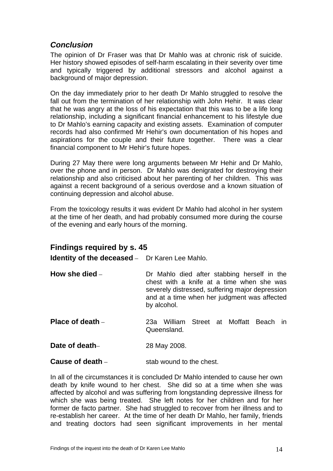## *Conclusion*

The opinion of Dr Fraser was that Dr Mahlo was at chronic risk of suicide. Her history showed episodes of self-harm escalating in their severity over time and typically triggered by additional stressors and alcohol against a background of major depression.

On the day immediately prior to her death Dr Mahlo struggled to resolve the fall out from the termination of her relationship with John Hehir. It was clear that he was angry at the loss of his expectation that this was to be a life long relationship, including a significant financial enhancement to his lifestyle due to Dr Mahlo's earning capacity and existing assets. Examination of computer records had also confirmed Mr Hehir's own documentation of his hopes and aspirations for the couple and their future together. There was a clear financial component to Mr Hehir's future hopes.

During 27 May there were long arguments between Mr Hehir and Dr Mahlo, over the phone and in person. Dr Mahlo was denigrated for destroying their relationship and also criticised about her parenting of her children. This was against a recent background of a serious overdose and a known situation of continuing depression and alcohol abuse.

From the toxicology results it was evident Dr Mahlo had alcohol in her system at the time of her death, and had probably consumed more during the course of the evening and early hours of the morning.

## **Findings required by s. 45**

**Identity of the deceased** – Dr Karen Lee Mahlo.

- **How she died Dr Mahlo died after stabbing herself in the** chest with a knife at a time when she was severely distressed, suffering major depression and at a time when her judgment was affected by alcohol.
- **Place of death** 23a William Street at Moffatt Beach in **Queensland**
- **Date of death–** 28 May 2008.

**Cause of death** – stab wound to the chest.

In all of the circumstances it is concluded Dr Mahlo intended to cause her own death by knife wound to her chest. She did so at a time when she was affected by alcohol and was suffering from longstanding depressive illness for which she was being treated. She left notes for her children and for her former de facto partner. She had struggled to recover from her illness and to re-establish her career. At the time of her death Dr Mahlo, her family, friends and treating doctors had seen significant improvements in her mental